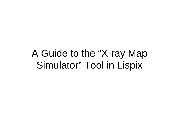# A Guide to the "X-ray Map Simulator" Tool in Lispix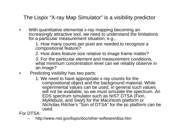The Lispix "X-ray Map Simulator" is a visibility predictor

• With quantitative elemental x-ray mapping becoming an increasingly attractive tool, we need to understand the limitations for a particular measurement situation, e.g.,

> 1. How many counts per pixel are needed to recognize a compositional feature?

> 2. How does feature size relative to image frame matter?

3. For the particular element and measurement conditions, what minimum concentration level can we reliably observe in an image?

- • Predicting visibility has two parts:
	- 1. We need to have appropriate x-ray counts for the compositional object and the background material. While experimental values can be used, in general such values will not be available, so we must simulate the spectrum. An EDS spectrum simulator such as NIST DTSA (Fiori, Myklebust, and Swyt) for the Macintosh platform or Nicholas Ritchie's "Son of DTSA" for the pc platform can be used.

For DTSA:

http://www.nist.gov/lispix/doc/other-software/dtsa.htm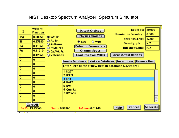# NIST Desktop Spectrum Analyzer: Spectrum Simulator

| z<br>Mg<br>Si<br>Ca<br>Fe<br>8<br>$\bf{0}$<br>$\bf{0}$<br>$\bf{0}$<br>$\bf{0}$<br>$\bf{0}$<br>$\bf{0}$<br>$\bf{0}$<br>$\bf{0}$<br>$\bf{0}$<br>$\bf{0}$ | Weight<br><b>Fraction</b><br>0.08850<br>0.25380<br>0.11060<br>0.11210<br>0.42360<br>$\bf{0}$<br>$\bf{0}$<br>$\bf{0}$<br>$\bf{0}$<br>$\bf{0}$<br>$\bf{0}$<br>$\bf{0}$<br>$\bf{0}$<br>$\bf{0}$<br>$\bf{0}$ | 20.000<br><b>Beam kV:</b><br>Output Choices<br>0.500<br>NanoAmps Faraday:<br><b>Physics Choices</b><br>◉ Wt. Fr.<br>1.000<br>Seconds, Live:<br>○ At. Fr.<br>O WDS<br>$\bullet$ EDS<br>N/A<br>Density, g/cc:<br>$\bigcirc$ # Atoms<br><b>Detector Parameters</b><br>$\bigcirc$ mMol/kg<br>N/A<br>Thickness, nm:<br><b>Channel Specs</b><br>$\bigcirc$ Ox. Wt. Fr.<br><b>Clear Output Options</b><br>◯ Valences<br>Load Info from WORK<br>Load a Database   Make a DataBase    Insert item    Remove item<br>Enter Here name of new item in database (<32 chars)<br>1 K227<br>2 K309<br>3 K411<br>4 K412<br>5 K961<br>6 Quartz<br>7 K2063a |          |
|--------------------------------------------------------------------------------------------------------------------------------------------------------|----------------------------------------------------------------------------------------------------------------------------------------------------------------------------------------------------------|------------------------------------------------------------------------------------------------------------------------------------------------------------------------------------------------------------------------------------------------------------------------------------------------------------------------------------------------------------------------------------------------------------------------------------------------------------------------------------------------------------------------------------------------------------------------------------------------------------------------------------------|----------|
|                                                                                                                                                        | Zero All<br>$\text{H}$ u Z= 13.13060                                                                                                                                                                     | Cancel<br>Heip<br>$1 - Sum = 0.01140$<br>$Sum = 0.98860$                                                                                                                                                                                                                                                                                                                                                                                                                                                                                                                                                                                 | Generate |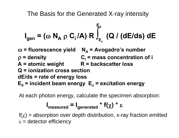The Basis for the Generated X-ray intensity

$$
I_{gen} = (\omega N_A \rho C_i/A) R \int_{E_c}^{E_0} (Q / (dE/ds) dE)
$$

<sup>ω</sup> **= fluorescence yield N <sup>A</sup>= Avogadro's number**  ρ **= density Ci = mass concentration of i**  A = atomic weight R = backscatter loss **Q = ionization cross section dE/ds = rate of energy loss E <sup>0</sup>= incident beam energy E <sup>c</sup>= excitation energy**

At each photon energy, calculate the specimen absorption:

$$
I_{\text{measured}} = I_{\text{generated}} * f(\chi) * \varepsilon
$$

 $f(\chi)$  = absorption over depth distribution, x-ray fraction emitted  $\varepsilon$  = detector efficiency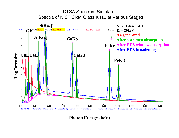

**Photon Energy (keV)**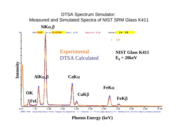

**Photon Energy (keV)**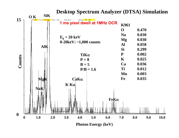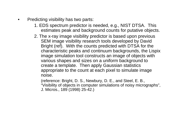- • Predicting visibility has two parts:
	- 1. EDS spectrum predictor is needed, e.g., NIST DTSA. This estimates peak and background counts for putative objects.
	- 2. The x-ray image visibility predictor is based upon previous SEM image visibility research tools developed by David Bright (ref). With the counts predicted with DTSA for the characteristic peaks and continuum backgrounds, the Lispix image simulation tool constructs an image of objects with various shapes and sizes on a uniform background to create a template. Then apply Gaussian statistics appropriate to the count at each pixel to simulate image noise.

(reference: Bright, D. S., Newbury, D. E., and Steel, E. B., "Visibility of objects in computer simulations of noisy micrographs", J. Micros., 189 (1998) 25-42.)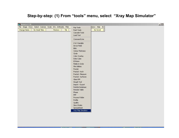#### **Step-by-step: (1) From "tools" menu, select "Xray Map Simulator"**

| $\frac{4}{3}$ lispixLx113B                                   |                    |              |  | $-1$ |
|--------------------------------------------------------------|--------------------|--------------|--|------|
| File Image Draw Select Colorize Scale Info Arithmetic Filter | Pop Tools          | ndow Help E2 |  |      |
| No Small Titles<br>Redraw<br>Change Name<br>Tile             | Push Tools         | No Scroll    |  |      |
|                                                              | Cascade Tools      |              |  |      |
|                                                              | Load Tool          |              |  |      |
|                                                              | Command Line       |              |  |      |
|                                                              | 2 & 3 Variable     |              |  |      |
|                                                              | Arrow Field        |              |  |      |
|                                                              | <b>Blob</b>        |              |  |      |
|                                                              | Cerius Thickness   |              |  |      |
|                                                              | Circle             |              |  |      |
|                                                              | Color Overlay      |              |  |      |
|                                                              | Data Cube          |              |  |      |
|                                                              | <b>ESVision</b>    |              |  |      |
|                                                              | Fields in Circle   |              |  |      |
|                                                              | File Utilities     |              |  |      |
|                                                              | Fourier            |              |  |      |
|                                                              | Fractal - Koch     |              |  |      |
|                                                              | Fractal - Measure  |              |  |      |
|                                                              | Fractal - Surfaces |              |  |      |
|                                                              | Glass RM           |              |  |      |
|                                                              | Hough Tool         |              |  |      |
|                                                              | Import - Export    |              |  |      |
|                                                              | Particle Database  |              |  |      |
|                                                              | Periodic Table     |              |  |      |
|                                                              | Phase              |              |  |      |
|                                                              | PPP                |              |  |      |
|                                                              | Process Folder     |              |  |      |
|                                                              | Profile            |              |  |      |
|                                                              | Quality            |              |  |      |
|                                                              | Sims I-Ratio       |              |  |      |
|                                                              | Spreadsheet        |              |  |      |
|                                                              | Xray Map Simulator |              |  |      |
|                                                              |                    |              |  |      |
|                                                              |                    |              |  |      |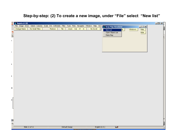# **Step-by-step: (2) To create a new image, under "File" select "New list"**

|    | $\frac{1}{\alpha}$<br>LispixLx113B |                                                                                                   |                                                                                                 | $\overline{\mathsf{max}}$ |
|----|------------------------------------|---------------------------------------------------------------------------------------------------|-------------------------------------------------------------------------------------------------|---------------------------|
|    |                                    | File Image Draw Select Colorize Scale Info Arithmetic Filter Tools Plots Navigator Window Help E2 | $\Box$<br>Xray Map Simulator                                                                    |                           |
|    | Change Name<br>No Small Titles     | Tile<br>Zoom Out X1 In<br>Redraw                                                                  | No Scroll<br>$\overline{\mathbb{P}^{\mathbb{D}}}$<br>Help<br><b>Windows</b><br>New List<br>Note |                           |
|    | $\frac{1}{2}$                      |                                                                                                   | Open Object List<br>Make Map                                                                    |                           |
|    |                                    |                                                                                                   |                                                                                                 |                           |
| i. |                                    |                                                                                                   |                                                                                                 |                           |
|    |                                    |                                                                                                   |                                                                                                 |                           |
|    |                                    |                                                                                                   |                                                                                                 |                           |
| r, |                                    |                                                                                                   |                                                                                                 |                           |
|    |                                    |                                                                                                   |                                                                                                 |                           |
|    |                                    |                                                                                                   |                                                                                                 |                           |
| ŧ. |                                    |                                                                                                   |                                                                                                 |                           |
|    |                                    |                                                                                                   |                                                                                                 |                           |
|    |                                    |                                                                                                   |                                                                                                 |                           |
| I. |                                    |                                                                                                   |                                                                                                 |                           |
|    |                                    |                                                                                                   |                                                                                                 |                           |
|    |                                    |                                                                                                   |                                                                                                 |                           |
| D  |                                    |                                                                                                   |                                                                                                 |                           |
|    |                                    |                                                                                                   |                                                                                                 |                           |
|    | $\mathbf{1}^{\parallel}$           |                                                                                                   |                                                                                                 |                           |
|    |                                    |                                                                                                   |                                                                                                 |                           |
|    |                                    |                                                                                                   |                                                                                                 |                           |
|    |                                    |                                                                                                   |                                                                                                 |                           |
|    |                                    |                                                                                                   |                                                                                                 |                           |
|    |                                    |                                                                                                   |                                                                                                 |                           |
|    | ]<br>D <u>r</u>                    |                                                                                                   |                                                                                                 |                           |
|    | Slide 11 of 11                     | Default Design                                                                                    | English $(0.5.)$<br>ໝ⊀                                                                          | F<br>h                    |
|    |                                    |                                                                                                   |                                                                                                 |                           |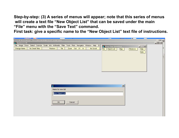**Step-by-step: (3) A series of menus will appear; note that this series of menus will create a text file "New Object List" that can be saved under the main "File" menu with the "Save Text" command.** 

**First task: give a specific name to the "New Object List" text file of instructions.**

| <b>Contractor of the contract</b>                      | $\overline{\phantom{m}}$                                                                          | <b>THE</b><br><b>Thomas</b> |
|--------------------------------------------------------|---------------------------------------------------------------------------------------------------|-----------------------------|
| Crosoft RamerRaint - [YrayManVicihilityTool_quide_ant] |                                                                                                   | $\boxed{m}$                 |
| $\frac{4}{3}$ lispixLx113B                             |                                                                                                   | $-10 \times$                |
|                                                        | File Image Draw Select Colorize Scale Info Arithmetic Filter Tools Plots Navigator Window Help E2 |                             |
|                                                        | <b>St</b> Xray Map Simulator                                                                      | $  $ $\Box$ $\times$ $ $    |
| Change Name<br>No Small Titles                         | Tile  <br>Zoom Out X1 In<br>Redraw  <br>No Scroll<br>Object List<br>File                          | Map<br>Windows<br>Help      |
|                                                        |                                                                                                   | Note                        |
|                                                        |                                                                                                   |                             |
|                                                        |                                                                                                   |                             |
|                                                        |                                                                                                   |                             |
|                                                        |                                                                                                   |                             |
|                                                        |                                                                                                   |                             |
|                                                        |                                                                                                   |                             |
|                                                        |                                                                                                   |                             |
|                                                        |                                                                                                   |                             |
|                                                        |                                                                                                   |                             |
|                                                        |                                                                                                   |                             |
|                                                        |                                                                                                   |                             |
|                                                        |                                                                                                   |                             |
|                                                        |                                                                                                   |                             |
|                                                        |                                                                                                   |                             |
|                                                        |                                                                                                   | $\vert x \vert$             |
|                                                        |                                                                                                   |                             |
|                                                        | Name for new list                                                                                 |                             |
|                                                        |                                                                                                   |                             |
|                                                        | New Object List                                                                                   |                             |
|                                                        |                                                                                                   |                             |
|                                                        |                                                                                                   |                             |
|                                                        |                                                                                                   |                             |
|                                                        | Cancel<br>OK                                                                                      |                             |
|                                                        |                                                                                                   |                             |
|                                                        |                                                                                                   |                             |
|                                                        |                                                                                                   |                             |
|                                                        |                                                                                                   |                             |
|                                                        |                                                                                                   |                             |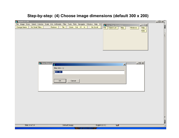# **Step-by-step: (4) Choose image dimensions (default 300 x 200)**

| File Image Draw Select Colorize Scale Info Arithmetic Filter Tools Plots Navigator Window Help E2<br><sup>Penz</sup> Xray Map Simulator<br>$\Box$<br>Zoom Out X1 In<br>Change Name<br>No Small Titles<br>Tile<br>No Scroll<br>Redraw<br>File   Object List<br>Windows<br>Map<br>Help<br>Note | 그미지[        |
|----------------------------------------------------------------------------------------------------------------------------------------------------------------------------------------------------------------------------------------------------------------------------------------------|-------------|
|                                                                                                                                                                                                                                                                                              |             |
| $\Box$<br><mark>"建</mark> "New Object L <mark>i</mark><br>$\mathbf{X}$<br>¥<br>Map size- $\times$ y<br>300 200<br>Cancel<br>OK                                                                                                                                                               |             |
| Slide 14 of 14<br>English $(U.5.)$<br>Default Design<br>ໝ⊀                                                                                                                                                                                                                                   | Þ<br>F<br>h |
|                                                                                                                                                                                                                                                                                              |             |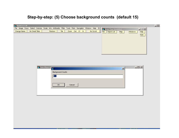# **Step-by-step: (5) Choose background counts (default 15)**

| $\frac{1}{2}$ lispixLx113B                                                                        |                 |                          |                |           |                    |                 | $-1$                  |
|---------------------------------------------------------------------------------------------------|-----------------|--------------------------|----------------|-----------|--------------------|-----------------|-----------------------|
| File Image Draw Select Colorize Scale Info Arithmetic Filter Tools Plots Navigator Window Help E2 |                 |                          |                |           | Xray Map Simulator |                 | $  $ $ $ $\times$ $ $ |
| Change Name                                                                                       | No Small Titles | Redraw<br>Tile           | Zoom Out X1 In | No Scroll | File   Object List | Windows<br>Map  | Heip                  |
|                                                                                                   |                 |                          |                |           |                    |                 | Note                  |
|                                                                                                   |                 |                          |                |           |                    |                 |                       |
|                                                                                                   |                 |                          |                |           |                    |                 |                       |
|                                                                                                   |                 |                          |                |           |                    |                 |                       |
|                                                                                                   |                 |                          |                |           |                    |                 |                       |
|                                                                                                   |                 |                          |                |           |                    |                 |                       |
|                                                                                                   |                 |                          |                |           |                    |                 |                       |
|                                                                                                   |                 |                          |                |           |                    |                 |                       |
|                                                                                                   |                 |                          |                |           |                    |                 |                       |
|                                                                                                   | New Object L    |                          |                |           |                    | $\vert x \vert$ | $-10 \times$          |
|                                                                                                   |                 | <b>Background Counts</b> |                |           |                    |                 |                       |
|                                                                                                   |                 | 15                       |                |           |                    |                 |                       |
|                                                                                                   |                 |                          |                |           |                    |                 |                       |
|                                                                                                   |                 |                          |                |           |                    |                 |                       |
|                                                                                                   |                 | OK                       | Cancel         |           |                    |                 |                       |
|                                                                                                   |                 |                          |                |           |                    |                 |                       |
|                                                                                                   |                 |                          |                |           |                    |                 |                       |
|                                                                                                   |                 |                          |                |           |                    |                 |                       |
|                                                                                                   |                 |                          |                |           |                    |                 |                       |
|                                                                                                   |                 |                          |                |           |                    |                 |                       |
|                                                                                                   |                 |                          |                |           |                    |                 |                       |
|                                                                                                   |                 |                          |                |           |                    |                 |                       |
|                                                                                                   |                 |                          |                |           |                    |                 |                       |
|                                                                                                   |                 |                          |                |           |                    |                 |                       |
|                                                                                                   |                 |                          |                |           |                    |                 |                       |
|                                                                                                   |                 |                          |                |           |                    |                 |                       |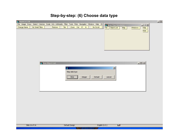#### **Step-by-step: (6) Choose data type**

| $\frac{1}{2}$ lispixLx113B     |                 |                                                                                                                             |                    |                    |                         | $-1$ |
|--------------------------------|-----------------|-----------------------------------------------------------------------------------------------------------------------------|--------------------|--------------------|-------------------------|------|
| Change Name<br>No Small Titles | Redraw          | File Image Draw Select Colorize Scale Info Arithmetic Filter Tools Plots Navigator Window Help E2<br>Zoom Out X1 In<br>Tile | No Scroll          | Xray Map Simulator | $ \Box$ $\times$        |      |
|                                |                 |                                                                                                                             | File   Object List | Map                | Windows<br>Help<br>Note |      |
|                                | New Object List |                                                                                                                             |                    |                    | $-121 \times$           |      |
|                                |                 | 性                                                                                                                           |                    | $\vert x \vert$    |                         |      |
|                                |                 | Map data type                                                                                                               |                    |                    |                         |      |
|                                |                 | Byte<br>Integer                                                                                                             | Default<br>cancel  |                    |                         |      |
|                                |                 |                                                                                                                             |                    |                    |                         |      |
|                                |                 |                                                                                                                             |                    |                    |                         |      |
|                                |                 |                                                                                                                             |                    |                    |                         |      |
|                                |                 |                                                                                                                             |                    |                    |                         |      |
|                                |                 |                                                                                                                             |                    |                    |                         |      |
|                                |                 |                                                                                                                             |                    |                    |                         |      |
| Slide 16 of 16                 |                 | Default Design                                                                                                              | English (U.S.)     | ⊔∡                 |                         |      |
|                                |                 |                                                                                                                             |                    |                    |                         |      |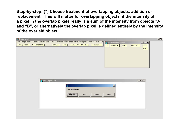**Step-by-step: (7) Choose treatment of overlapping objects, addition or replacement. This will matter for overlapping objects if the intensity of a pixel in the overlap pixels really is a sum of the intensity from objects "A" and "B", or alternatively the overlap pixel is defined entirely by the intensity of the overlaid object.**

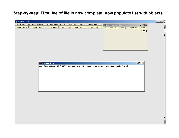# **Step-by-step: First line of file is now complete; now populate list with objects**

| LispixLx113B                                                                                      |                 |                               |      |                |           |                                                                        |                   | $\Box$ u $\times$ |
|---------------------------------------------------------------------------------------------------|-----------------|-------------------------------|------|----------------|-----------|------------------------------------------------------------------------|-------------------|-------------------|
| File Image Draw Select Colorize Scale Info Arithmetic Filter Tools Plots Navigator Window Help E2 |                 |                               |      |                |           | <sup>ngu</sup> Xray Map Simulator                                      | $\Box \Box X$     |                   |
| Change Name                                                                                       | No Small Titles | Redraw                        | Tile | Zoom Out X1 In | No Scroll | File   Object List<br>Map                                              | Windows<br>Help   | E                 |
|                                                                                                   |                 |                               |      |                |           |                                                                        | Note              |                   |
|                                                                                                   |                 |                               |      |                |           |                                                                        |                   |                   |
|                                                                                                   |                 |                               |      |                |           |                                                                        |                   |                   |
|                                                                                                   |                 |                               |      |                |           |                                                                        |                   |                   |
|                                                                                                   |                 |                               |      |                |           |                                                                        |                   |                   |
|                                                                                                   |                 |                               |      |                |           |                                                                        |                   |                   |
|                                                                                                   |                 |                               |      |                |           |                                                                        |                   |                   |
|                                                                                                   |                 |                               |      |                |           |                                                                        |                   |                   |
|                                                                                                   |                 | <sup>ng</sup> New Object List |      |                |           |                                                                        | $\Box$ D $\times$ |                   |
|                                                                                                   |                 |                               |      |                |           | map dimensions 300 200 background 15 data-type byte overlap-method add |                   |                   |
|                                                                                                   |                 |                               |      |                |           |                                                                        |                   |                   |
|                                                                                                   |                 |                               |      |                |           |                                                                        |                   |                   |
|                                                                                                   |                 |                               |      |                |           |                                                                        |                   |                   |
|                                                                                                   |                 |                               |      |                |           |                                                                        |                   |                   |
|                                                                                                   |                 |                               |      |                |           |                                                                        |                   |                   |
|                                                                                                   |                 |                               |      |                |           |                                                                        |                   |                   |
|                                                                                                   |                 |                               |      |                |           |                                                                        |                   |                   |
|                                                                                                   |                 |                               |      |                |           |                                                                        |                   |                   |
|                                                                                                   |                 |                               |      |                |           |                                                                        |                   |                   |
|                                                                                                   |                 |                               |      |                |           |                                                                        |                   |                   |
|                                                                                                   |                 |                               |      |                |           |                                                                        |                   |                   |
|                                                                                                   |                 |                               |      |                |           |                                                                        |                   |                   |
|                                                                                                   |                 |                               |      |                |           |                                                                        |                   |                   |
|                                                                                                   |                 |                               |      |                |           |                                                                        |                   |                   |
|                                                                                                   |                 |                               |      |                |           |                                                                        |                   | E                 |
|                                                                                                   |                 |                               |      |                |           |                                                                        |                   |                   |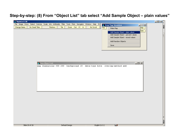#### **Step-by-step: (8) From "Object List" tab select "Add Sample Object – plain values"**

| LispixLx113B                                                                                      |                 |                                |      |                |           |                |                                                                        |                                    |        | $ I \square  X $ |
|---------------------------------------------------------------------------------------------------|-----------------|--------------------------------|------|----------------|-----------|----------------|------------------------------------------------------------------------|------------------------------------|--------|------------------|
| File Image Draw Select Colorize Scale Info Arithmetic Filter Tools Plots Navigator Window Help E2 |                 |                                |      |                |           |                | Xray Map Simulator                                                     |                                    | 口回凶    |                  |
| Change Name                                                                                       | No Small Titles | Redraw                         | Tile | Zoom Out X1 In | No Scroll |                | File<br>Make Map                                                       |                                    | Help   |                  |
|                                                                                                   |                 |                                |      |                |           |                |                                                                        | Add Sample Object - plain values   | Note   |                  |
|                                                                                                   |                 |                                |      |                |           |                |                                                                        | Add Sample Object - percent values |        |                  |
|                                                                                                   |                 |                                |      |                |           |                |                                                                        | Add Sample Object - mixed values   |        |                  |
|                                                                                                   |                 |                                |      |                |           |                | Add Random Objects                                                     |                                    |        |                  |
|                                                                                                   |                 |                                |      |                |           |                | Save                                                                   |                                    |        |                  |
|                                                                                                   |                 |                                |      |                |           |                |                                                                        |                                    |        |                  |
|                                                                                                   |                 |                                |      |                |           |                |                                                                        |                                    |        |                  |
|                                                                                                   |                 |                                |      |                |           |                |                                                                        |                                    |        |                  |
|                                                                                                   |                 |                                |      |                |           |                |                                                                        |                                    |        |                  |
|                                                                                                   |                 | <sup>Put</sup> New Object List |      |                |           |                |                                                                        |                                    | $\Box$ |                  |
|                                                                                                   |                 |                                |      |                |           |                | map dimensions 300 200 background 15 data-type byte overlap-method add |                                    |        |                  |
|                                                                                                   |                 |                                |      |                |           |                |                                                                        |                                    |        |                  |
|                                                                                                   |                 |                                |      |                |           |                |                                                                        |                                    |        |                  |
|                                                                                                   |                 |                                |      |                |           |                |                                                                        |                                    |        |                  |
|                                                                                                   |                 |                                |      |                |           |                |                                                                        |                                    |        |                  |
|                                                                                                   |                 |                                |      |                |           |                |                                                                        |                                    |        |                  |
|                                                                                                   |                 |                                |      |                |           |                |                                                                        |                                    |        |                  |
|                                                                                                   |                 |                                |      |                |           |                |                                                                        |                                    |        |                  |
|                                                                                                   |                 |                                |      |                |           |                |                                                                        |                                    |        |                  |
|                                                                                                   |                 |                                |      |                |           |                |                                                                        |                                    |        |                  |
|                                                                                                   |                 |                                |      |                |           |                |                                                                        |                                    |        |                  |
|                                                                                                   |                 |                                |      |                |           |                |                                                                        |                                    |        |                  |
|                                                                                                   |                 |                                |      |                |           |                |                                                                        |                                    |        |                  |
|                                                                                                   |                 |                                |      |                |           |                |                                                                        |                                    |        |                  |
|                                                                                                   |                 |                                |      |                |           |                |                                                                        |                                    |        |                  |
|                                                                                                   |                 |                                |      |                |           |                |                                                                        |                                    |        |                  |
|                                                                                                   |                 |                                |      |                |           |                |                                                                        |                                    |        | E                |
| Slide 20 of 20                                                                                    |                 |                                |      | Default Design |           | English (U.S.) | फ़                                                                     |                                    |        | 11               |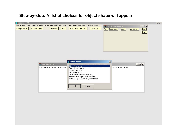#### **Step-by-step: A list of choices for object shape will appear**

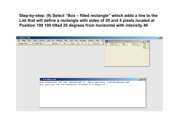**Step-by-step: (9) Select "Box – filled rectangle" which adds a line to the List that will define a rectangle with sides of 20 and 5 pixels located at Position 100 100 tilted 25 degrees from horizontal with intensity 40**

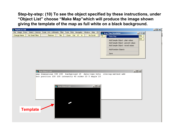**Step-by-step: (10) To see the object specified by these instructions, under "Object List" choose "Make Map"which will produce the image shown giving the template of the map as full white on a black background.**

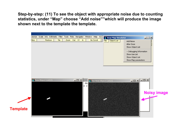**Step-by-step: (11) To see the object with appropriate noise due to counting statistics, under "Map" choose "Add noise""which will produce the image shown next to the template the template.**

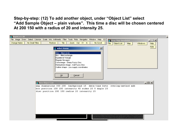**Step-by-step: (12) To add another object, under "Object List" select "Add Sample Object – plain values". This time a disc will be chosen centered At 200 150 with a radius of 20 and intensity 25.**

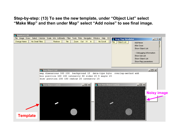**Step-by-step: (13) To see the new template, under "Object List" select "Make Map" and then under Map" select "Add noise" to see final image.**

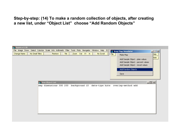**Step-by-step: (14) To make a random collection of objects, after creating a new list, under "Object List" choose "Add Random Objects"**

| <b>ExilispixLx113B</b>         |                            |                                                                                                   |                                                                                                                                                  |
|--------------------------------|----------------------------|---------------------------------------------------------------------------------------------------|--------------------------------------------------------------------------------------------------------------------------------------------------|
|                                |                            | File Image Draw Select Colorize Scale Info Arithmetic Filter Tools Plots Navigator Window Help E2 | Xray Map Simulator<br>$\Box \Box X$                                                                                                              |
| Change Name<br>No Small Titles | Tile<br>Redraw             | Zoom Out X1 In  <br>No Scroll                                                                     | Help<br>File<br>Make Map                                                                                                                         |
|                                |                            |                                                                                                   | Note<br>Add Sample Object - plain values<br>Add Sample Object - percent values<br>Add Sample Object - mixed values<br>Add Random Objects<br>Save |
|                                | <b>Pyr</b> New Object List |                                                                                                   | $-12X$                                                                                                                                           |
|                                |                            | map dimensions 300 200 background 15 data-type byte                                               | overlap-method add                                                                                                                               |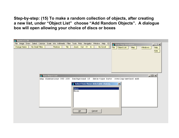**Step-by-step: (15) To make a random collection of objects, after creating a new list, under "Object List" choose "Add Random Objects". A dialogue box will open allowing your choice of discs or boxes**

| <b>Exit is pix Lx113B</b>                                                                         |                                                                          |                                                   |
|---------------------------------------------------------------------------------------------------|--------------------------------------------------------------------------|---------------------------------------------------|
| File Image Draw Select Colorize Scale Info Arithmetic Filter Tools Plots Navigator Window Help E2 |                                                                          | <sup>ng</sup> Xray Map Simulator<br>$\Box \Box x$ |
| Change Name<br>No Small Titles<br>Tile<br>Redraw                                                  | Zoom Out X1 In  <br>No Scroll<br>File                                    | Object List<br>Map<br>Windows<br>Help             |
|                                                                                                   |                                                                          | Note                                              |
|                                                                                                   |                                                                          |                                                   |
|                                                                                                   |                                                                          |                                                   |
|                                                                                                   |                                                                          |                                                   |
|                                                                                                   |                                                                          |                                                   |
|                                                                                                   |                                                                          |                                                   |
|                                                                                                   |                                                                          |                                                   |
| <b>Par New Object List</b>                                                                        |                                                                          | $\Box$                                            |
| map dimensions 300 200                                                                            | background 15 data-type byte overlap-method add                          |                                                   |
|                                                                                                   | $\overline{\mathbf{x}}$<br>Select from these delectable choices.         |                                                   |
|                                                                                                   |                                                                          |                                                   |
|                                                                                                   | Discs<br>Boxes                                                           |                                                   |
|                                                                                                   |                                                                          |                                                   |
|                                                                                                   |                                                                          |                                                   |
|                                                                                                   |                                                                          |                                                   |
|                                                                                                   |                                                                          |                                                   |
|                                                                                                   |                                                                          |                                                   |
|                                                                                                   | $\ensuremath{\underline{\mathsf{C}}}$ ancel<br>$\overline{\mathsf{g}}$ K |                                                   |
|                                                                                                   |                                                                          |                                                   |
|                                                                                                   |                                                                          |                                                   |
|                                                                                                   |                                                                          |                                                   |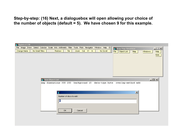**Step-by-step: (16) Next, a dialoguebox will open allowing your choice of the number of objects (default = 5). We have chosen 9 for this example.**

| File Image Draw Select Colorize Scale Info Arithmetic Filter Tools Plots Navigator Window Help E2<br><sup>Pye</sup> Xray Map Simulator<br>$\Box \Box x$<br>Zoom Out X1 In  <br>Change Name<br>No Small Titles<br>Redraw  <br>Tile<br>No Scroll |  |
|------------------------------------------------------------------------------------------------------------------------------------------------------------------------------------------------------------------------------------------------|--|
|                                                                                                                                                                                                                                                |  |
| Object List<br>File<br>Map<br>Windows<br>Help                                                                                                                                                                                                  |  |
| Note                                                                                                                                                                                                                                           |  |
|                                                                                                                                                                                                                                                |  |
|                                                                                                                                                                                                                                                |  |
|                                                                                                                                                                                                                                                |  |
|                                                                                                                                                                                                                                                |  |
|                                                                                                                                                                                                                                                |  |
|                                                                                                                                                                                                                                                |  |
| $\Box$<br><b>PyR</b> New Object List                                                                                                                                                                                                           |  |
| map dimensions 300 200 background 15 data-type byte overlap-method add                                                                                                                                                                         |  |
|                                                                                                                                                                                                                                                |  |
|                                                                                                                                                                                                                                                |  |
| $\vert x \vert$                                                                                                                                                                                                                                |  |
| Number of discs to add:                                                                                                                                                                                                                        |  |
| 冏                                                                                                                                                                                                                                              |  |
|                                                                                                                                                                                                                                                |  |
|                                                                                                                                                                                                                                                |  |
| OK<br>Cancel                                                                                                                                                                                                                                   |  |
|                                                                                                                                                                                                                                                |  |
|                                                                                                                                                                                                                                                |  |
|                                                                                                                                                                                                                                                |  |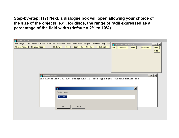**Step-by-step: (17) Next, a dialogue box will open allowing your choice of the size of the objects, e.g., for discs, the range of radii expressed as a percentage of the field width (default = 2% to 10%).**

| <b>Let IspixLx113B</b>                                                                                                               |                 |
|--------------------------------------------------------------------------------------------------------------------------------------|-----------------|
| File Image Draw Select Colorize Scale Info Arithmetic Filter Tools Plots Navigator Window Help E2<br><b>Fulle</b> Xray Map Simulator | $\Box \Box x$   |
| Zoom Out X1 In<br>Tile<br>Change Name<br>No Small Titles<br>Redraw  <br>No Scroll<br>Object List<br>File<br>Map                      | Help<br>Windows |
|                                                                                                                                      | Note            |
|                                                                                                                                      |                 |
|                                                                                                                                      |                 |
|                                                                                                                                      |                 |
|                                                                                                                                      |                 |
|                                                                                                                                      |                 |
|                                                                                                                                      |                 |
| <b>PyR</b> New Object List                                                                                                           | $-10 \times$    |
| map dimensions 300 200 background 15 data-type byte overlap-method add                                                               |                 |
|                                                                                                                                      |                 |
|                                                                                                                                      |                 |
| $\mathbf{x}$<br>¥                                                                                                                    |                 |
| Radius range                                                                                                                         |                 |
| 2% 10%                                                                                                                               |                 |
|                                                                                                                                      |                 |
|                                                                                                                                      |                 |
| Cancel<br>OK                                                                                                                         |                 |
|                                                                                                                                      |                 |
|                                                                                                                                      |                 |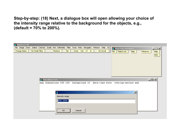**Step-by-step: (18) Next, a dialogue box will open allowing your choice of the intensity range relative to the background for the objects, e.g., (default = 70% to 200%).**

| <b>Example 138</b>                                                                                                                     |                                     |
|----------------------------------------------------------------------------------------------------------------------------------------|-------------------------------------|
| File Image Draw Select Colorize Scale Info Arithmetic Filter Tools Plots Navigator Window Help E2<br><sup>Pen</sup> Xray Map Simulator | $\overline{\mathbf{z}[\mathbf{x}]}$ |
| Zoom Out X1 In<br>No Small Titles<br>Redraw<br>Tile<br>Change Name<br>No Scroll<br>Object List<br>File                                 | Map<br>Windows<br>Help              |
|                                                                                                                                        | Note                                |
|                                                                                                                                        |                                     |
|                                                                                                                                        |                                     |
|                                                                                                                                        |                                     |
|                                                                                                                                        |                                     |
|                                                                                                                                        |                                     |
|                                                                                                                                        |                                     |
|                                                                                                                                        |                                     |
| <b>PyR</b> New Object List                                                                                                             | $\Box$                              |
| map dimensions 300 200 background 15 data-type byte overlap-method add                                                                 |                                     |
|                                                                                                                                        |                                     |
| ¥                                                                                                                                      | $\overline{\mathbf{x}}$             |
|                                                                                                                                        |                                     |
| Intensity range                                                                                                                        |                                     |
| 70% 200%                                                                                                                               |                                     |
|                                                                                                                                        |                                     |
|                                                                                                                                        |                                     |
| Cancel<br>OK.                                                                                                                          |                                     |
|                                                                                                                                        |                                     |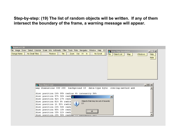**Step-by-step: (19) The list of random objects will be written. If any of them intersect the boundary of the frame, a warning message will appear.**

| <b>E</b> lispixLx113B          |                                                                                                        |
|--------------------------------|--------------------------------------------------------------------------------------------------------|
|                                | File Image Draw Select Colorize Scale Info Arithmetic Filter Tools Plots Navigator Window Help E2      |
|                                | <b>W</b> Xray Map Simulator<br>$ \Box$ $\times$                                                        |
| Change Name<br>No Small Titles | Zoom Out X1 In<br>Tile<br>No Scroll<br>Redraw<br>Object List<br><b>Help</b><br>File<br>Windows:<br>Map |
|                                | Note                                                                                                   |
|                                |                                                                                                        |
|                                |                                                                                                        |
|                                |                                                                                                        |
|                                |                                                                                                        |
|                                |                                                                                                        |
|                                |                                                                                                        |
|                                |                                                                                                        |
|                                |                                                                                                        |
|                                |                                                                                                        |
|                                |                                                                                                        |
|                                | $\Box$<br><b>W</b> New Object List                                                                     |
|                                | map dimensions 300 200 background 15 data-type byte overlap-method add                                 |
|                                |                                                                                                        |
|                                | disc position 26% 95% radius 4% intensity 96%                                                          |
|                                | disc position 57% 50% radi                                                                             |
|                                | $\vert x \vert$<br>disc position 42% 27% radi                                                          |
|                                | Objects that may be out of bounds:<br>disc position 81% 8% radiu<br>$\bullet$                          |
|                                | L<br>51<br>disc position 1% 53% radiu                                                                  |
|                                | disc position 26% 56% radi                                                                             |
|                                | disc position 95% 15% radi                                                                             |
|                                | ok<br>disc position 35% 22% radi                                                                       |
|                                | disc position 25% 50% radias  Incendiaty co.                                                           |